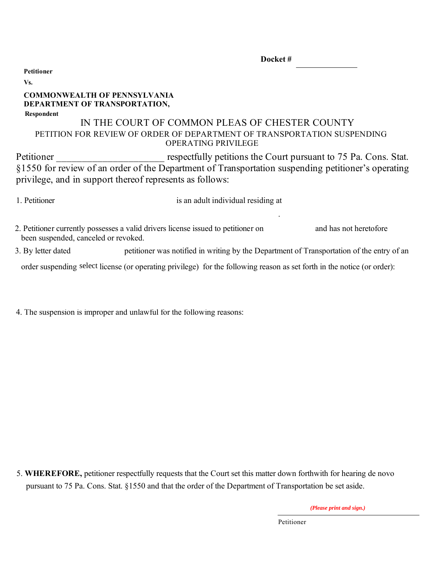| Docket# |  |
|---------|--|
|         |  |

**Petitioner**

#### **Vs.**

### **Respondent COMMONWEALTH OF PENNSYLVANIA DEPARTMENT OF TRANSPORTATION,**

## PETITION FOR REVIEW OF ORDER OF DEPARTMENT OF TRANSPORTATION SUSPENDING OPERATING PRIVILEGE IN THE COURT OF COMMON PLEAS OF CHESTER COUNTY

Petitioner **Petitioner** respectfully petitions the Court pursuant to 75 Pa. Cons. Stat. §1550 for review of an order of the Department of Transportation suspending petitioner's operating privilege, and in support thereof represents as follows:

1. Petitioner is an adult individual residing at

.

2. Petitioner currently possesses a valid drivers license issued to petitioner on and has not heretofore been suspended, canceled or revoked.

petitioner was notified in writing by the Department of Transportation of the entry of an 3. By letter dated

order suspending select license (or operating privilege) for the following reason as set forth in the notice (or order):

4. The suspension is improper and unlawful for the following reasons:

5. **WHEREFORE,** petitioner respectfully requests that the Court set this matter down forthwith for hearing de novo pursuant to 75 Pa. Cons. Stat. §1550 and that the order of the Department of Transportation be set aside.

*(Please print and sign.)*

Petitioner